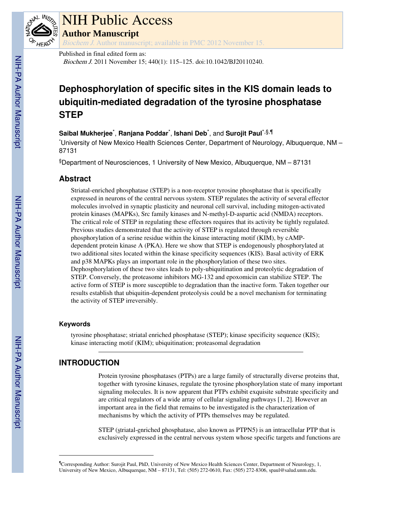

# NIH Public Access

**Author Manuscript**

Biochem J. Author manuscript; available in PMC 2012 November 15.

# Published in final edited form as:

Biochem J. 2011 November 15; 440(1): 115–125. doi:10.1042/BJ20110240.

# **Dephosphorylation of specific sites in the KIS domain leads to ubiquitin-mediated degradation of the tyrosine phosphatase STEP**

# $\mathsf{S}$ aibal Mukherjee $\check{\phantom{\mathsf{A}}}, \mathsf{R}$ anjana Poddar $\check{\phantom{\mathsf{A}}}, \mathsf{I}$ shani Deb $\check{\phantom{\mathsf{A}}}, \mathsf{and} \mathsf{S}$ urojit Paul $\check{\phantom{\mathsf{A}}}^{\mathsf{s}, \P}$

\*University of New Mexico Health Sciences Center, Department of Neurology, Albuquerque, NM – 87131

§Department of Neurosciences, 1 University of New Mexico, Albuquerque, NM – 87131

# **Abstract**

Striatal-enriched phosphatase (STEP) is a non-receptor tyrosine phosphatase that is specifically expressed in neurons of the central nervous system. STEP regulates the activity of several effector molecules involved in synaptic plasticity and neuronal cell survival, including mitogen-activated protein kinases (MAPKs), Src family kinases and N-methyl-D-aspartic acid (NMDA) receptors. The critical role of STEP in regulating these effectors requires that its activity be tightly regulated. Previous studies demonstrated that the activity of STEP is regulated through reversible phosphorylation of a serine residue within the kinase interacting motif (KIM), by cAMPdependent protein kinase A (PKA). Here we show that STEP is endogenously phosphorylated at two additional sites located within the kinase specificity sequences (KIS). Basal activity of ERK and p38 MAPKs plays an important role in the phosphorylation of these two sites. Dephosphorylation of these two sites leads to poly-ubiquitination and proteolytic degradation of STEP. Conversely, the proteasome inhibitors MG-132 and epoxomicin can stabilize STEP. The active form of STEP is more susceptible to degradation than the inactive form. Taken together our results establish that ubiquitin-dependent proteolysis could be a novel mechanism for terminating the activity of STEP irreversibly.

# **Keywords**

tyrosine phosphatase; striatal enriched phosphatase (STEP); kinase specificity sequence (KIS); kinase interacting motif (KIM); ubiquitination; proteasomal degradation

# **INTRODUCTION**

Protein tyrosine phosphatases (PTPs) are a large family of structurally diverse proteins that, together with tyrosine kinases, regulate the tyrosine phosphorylation state of many important signaling molecules. It is now apparent that PTPs exhibit exquisite substrate specificity and are critical regulators of a wide array of cellular signaling pathways [1, 2]. However an important area in the field that remains to be investigated is the characterization of mechanisms by which the activity of PTPs themselves may be regulated.

STEP (striatal-enriched phosphatase, also known as PTPN5) is an intracellular PTP that is exclusively expressed in the central nervous system whose specific targets and functions are

<sup>¶</sup>Corresponding Author: Surojit Paul, PhD, University of New Mexico Health Sciences Center, Department of Neurology, 1, University of New Mexico, Albuquerque, NM – 87131, Tel: (505) 272-0610, Fax: (505) 272-8306, spaul@salud.unm.edu.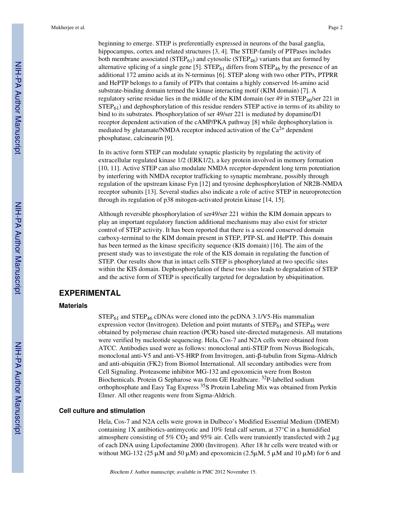beginning to emerge. STEP is preferentially expressed in neurons of the basal ganglia, hippocampus, cortex and related structures [3, 4]. The STEP-family of PTPases includes both membrane associated ( $STEP_{61}$ ) and cytosolic ( $STEP_{46}$ ) variants that are formed by alternative splicing of a single gene [5].  $\text{STEP}_{61}$  differs from  $\text{STEP}_{46}$  by the presence of an additional 172 amino acids at its N-terminus [6]. STEP along with two other PTPs, PTPRR and HePTP belongs to a family of PTPs that contains a highly conserved 16-amino acid substrate-binding domain termed the kinase interacting motif (KIM domain) [7]. A regulatory serine residue lies in the middle of the KIM domain (ser 49 in  $STEP<sub>46</sub>/ser 221$  in  $STEP_{61}$ ) and dephosphorylation of this residue renders STEP active in terms of its ability to bind to its substrates. Phosphorylation of ser 49/ser 221 is mediated by dopamine/D1 receptor dependent activation of the cAMP/PKA pathway [8] while dephosphorylation is mediated by glutamate/NMDA receptor induced activation of the  $Ca^{2+}$  dependent phosphatase, calcineurin [9].

In its active form STEP can modulate synaptic plasticity by regulating the activity of extracellular regulated kinase 1/2 (ERK1/2), a key protein involved in memory formation [10, 11]. Active STEP can also modulate NMDA receptor-dependent long term potentiation by interfering with NMDA receptor trafficking to synaptic membrane, possibly through regulation of the upstream kinase Fyn [12] and tyrosine dephosphorylation of NR2B-NMDA receptor subunits [13]. Several studies also indicate a role of active STEP in neuroprotection through its regulation of p38 mitogen-activated protein kinase [14, 15].

Although reversible phosphorylation of ser49/ser 221 within the KIM domain appears to play an important regulatory function additional mechanisms may also exist for stricter control of STEP activity. It has been reported that there is a second conserved domain carboxy-terminal to the KIM domain present in STEP, PTP-SL and HePTP. This domain has been termed as the kinase specificity sequence (KIS domain) [16]. The aim of the present study was to investigate the role of the KIS domain in regulating the function of STEP. Our results show that in intact cells STEP is phosphorylated at two specific sites within the KIS domain. Dephosphorylation of these two sites leads to degradation of STEP and the active form of STEP is specifically targeted for degradation by ubiquitination.

# **EXPERIMENTAL**

### **Materials**

 $STEP_{61}$  and  $STEP_{46}$  cDNAs were cloned into the pcDNA 3.1/V5-His mammalian expression vector (Invitrogen). Deletion and point mutants of  $\text{STEP}_{61}$  and  $\text{STEP}_{46}$  were obtained by polymerase chain reaction (PCR) based site-directed mutagenesis. All mutations were verified by nucleotide sequencing. Hela, Cos-7 and N2A cells were obtained from ATCC. Antibodies used were as follows: monoclonal anti-STEP from Novus Biologicals, monoclonal anti-V5 and anti-V5-HRP from Invitrogen, anti-β-tubulin from Sigma-Aldrich and anti-ubiquitin (FK2) from Biomol International. All secondary antibodies were from Cell Signaling. Proteasome inhibitor MG-132 and epoxomicin were from Boston Biochemicals. Protein G Sepharose was from GE Healthcare. 32P-labelled sodium orthophosphate and Easy Tag Express 35S Protein Labeling Mix was obtained from Perkin Elmer. All other reagents were from Sigma-Aldrich.

## **Cell culture and stimulation**

Hela, Cos-7 and N2A cells were grown in Dulbeco's Modified Essential Medium (DMEM) containing 1X antibiotics-antimycotic and 10% fetal calf serum, at 37°C in a humidified atmosphere consisting of 5% CO<sub>2</sub> and 95% air. Cells were transiently transfected with 2  $\mu$ g of each DNA using Lipofectamine 2000 (Invitrogen). After 18 hr cells were treated with or without MG-132 (25  $\mu$ M and 50  $\mu$ M) and epoxomicin (2.5 $\mu$ M, 5  $\mu$ M and 10  $\mu$ M) for 6 and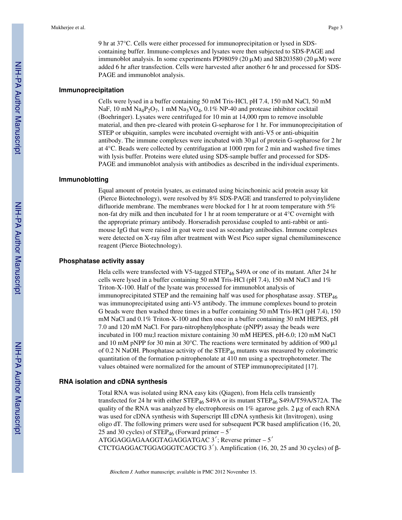9 hr at 37°C. Cells were either processed for immunoprecipitation or lysed in SDScontaining buffer. Immune-complexes and lysates were then subjected to SDS-PAGE and immunoblot analysis. In some experiments PD98059 (20  $\mu$ M) and SB203580 (20  $\mu$ M) were added 6 hr after transfection. Cells were harvested after another 6 hr and processed for SDS-PAGE and immunoblot analysis.

# **Immunoprecipitation**

Cells were lysed in a buffer containing 50 mM Tris-HCl, pH 7.4, 150 mM NaCl, 50 mM NaF, 10 mM Na<sub>4</sub>P<sub>2</sub>O<sub>7</sub>, 1 mM Na<sub>3</sub>VO<sub>4</sub>, 0.1% NP-40 and protease inhibitor cocktail (Boehringer). Lysates were centrifuged for 10 min at 14,000 rpm to remove insoluble material, and then pre-cleared with protein G-sepharose for 1 hr. For immunoprecipitation of STEP or ubiquitin, samples were incubated overnight with anti-V5 or anti-ubiquitin antibody. The immune complexes were incubated with  $30 \mu l$  of protein G-sepharose for 2 hr at 4°C. Beads were collected by centrifugation at 1000 rpm for 2 min and washed five times with lysis buffer. Proteins were eluted using SDS-sample buffer and processed for SDS-PAGE and immunoblot analysis with antibodies as described in the individual experiments.

#### **Immunoblotting**

Equal amount of protein lysates, as estimated using bicinchoninic acid protein assay kit (Pierce Biotechnology), were resolved by 8% SDS-PAGE and transferred to polyvinylidene difluoride membrane. The membranes were blocked for 1 hr at room temperature with 5% non-fat dry milk and then incubated for 1 hr at room temperature or at 4°C overnight with the appropriate primary antibody. Horseradish peroxidase coupled to anti-rabbit or antimouse IgG that were raised in goat were used as secondary antibodies. Immune complexes were detected on X-ray film after treatment with West Pico super signal chemiluminescence reagent (Pierce Biotechnology).

# **Phosphatase activity assay**

Hela cells were transfected with V5-tagged STEP<sub>46</sub> S49A or one of its mutant. After 24 hr cells were lysed in a buffer containing 50 mM Tris-HCl (pH 7.4), 150 mM NaCl and  $1\%$ Triton-X-100. Half of the lysate was processed for immunoblot analysis of immunoprecipitated STEP and the remaining half was used for phosphatase assay. STEP<sub>46</sub> was immunoprecipitated using anti-V5 antibody. The immune complexes bound to protein G beads were then washed three times in a buffer containing 50 mM Tris-HCl (pH 7.4), 150 mM NaCl and 0.1% Triton-X-100 and then once in a buffer containing 30 mM HEPES, pH 7.0 and 120 mM NaCl. For para-nitrophenylphosphate (pNPP) assay the beads were incubated in 100 mu;l reaction mixture containing 30 mM HEPES, pH-6.0; 120 mM NaCl and 10 mM pNPP for 30 min at 30 $^{\circ}$ C. The reactions were terminated by addition of 900  $\mu$ l of 0.2 N NaOH. Phosphatase activity of the  $STEP_{46}$  mutants was measured by colorimetric quantitation of the formation p-nitrophenolate at 410 nm using a spectrophotometer. The values obtained were normalized for the amount of STEP immunoprecipitated [17].

#### **RNA isolation and cDNA synthesis**

Total RNA was isolated using RNA easy kits (Qiagen), from Hela cells transiently transfected for 24 hr with either STEP<sub>46</sub> S49A or its mutant STEP<sub>46</sub> S49A/T59A/S72A. The quality of the RNA was analyzed by electrophoresis on  $1\%$  agarose gels. 2  $\mu$ g of each RNA was used for cDNA synthesis with Superscript III cDNA synthesis kit (Invitrogen), using oligo dT. The following primers were used for subsequent PCR based amplification (16, 20, 25 and 30 cycles) of STEP<sub>46</sub> (Forward primer  $-5'$ ATGGAGGAGAAGGTAGAGGATGAC 3′; Reverse primer – 5′

CTCTGAGGACTGGAGGGTCAGCTG 3′). Amplification (16, 20, 25 and 30 cycles) of β-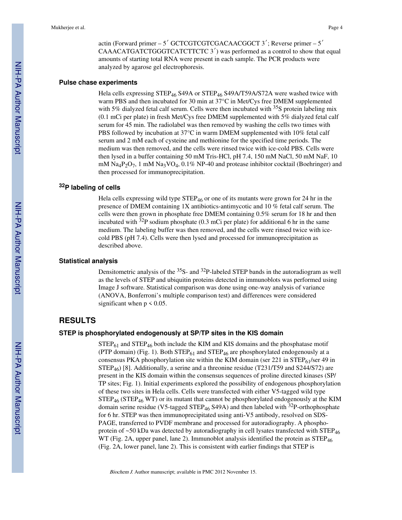actin (Forward primer – 5′ GCTCGTCGTCGACAACGGCT 3′; Reverse primer – 5′ CAAACATGATCTGGGTCATCTTCTC 3′) was performed as a control to show that equal amounts of starting total RNA were present in each sample. The PCR products were analyzed by agarose gel electrophoresis.

## **Pulse chase experiments**

Hela cells expressing STEP<sub>46</sub> S49A or STEP<sub>46</sub> S49A/T59A/S72A were washed twice with warm PBS and then incubated for 30 min at 37°C in Met/Cys free DMEM supplemented with 5% dialyzed fetal calf serum. Cells were then incubated with  $35S$  protein labeling mix (0.1 mCi per plate) in fresh Met/Cys free DMEM supplemented with 5% dialyzed fetal calf serum for 45 min. The radiolabel was then removed by washing the cells two times with PBS followed by incubation at 37°C in warm DMEM supplemented with 10% fetal calf serum and 2 mM each of cysteine and methionine for the specified time periods. The medium was then removed, and the cells were rinsed twice with ice-cold PBS. Cells were then lysed in a buffer containing 50 mM Tris-HCl, pH 7.4, 150 mM NaCl, 50 mM NaF, 10 mM  $\text{Na}_4\text{P}_2\text{O}_7$ , 1 mM  $\text{Na}_3\text{VO}_4$ , 0.1% NP-40 and protease inhibitor cocktail (Boehringer) and then processed for immunoprecipitation.

## **<sup>32</sup>P labeling of cells**

Hela cells expressing wild type  $\text{STEP}_{46}$  or one of its mutants were grown for 24 hr in the presence of DMEM containing 1X antibiotics-antimycotic and 10 % fetal calf serum. The cells were then grown in phosphate free DMEM containing 0.5% serum for 18 hr and then incubated with  $3^{2}P$  sodium phosphate (0.3 mCi per plate) for additional 6 hr in the same medium. The labeling buffer was then removed, and the cells were rinsed twice with icecold PBS (pH 7.4). Cells were then lysed and processed for immunoprecipitation as described above.

#### **Statistical analysis**

Densitometric analysis of the 35S- and 32P-labeled STEP bands in the autoradiogram as well as the levels of STEP and ubiquitin proteins detected in immunoblots was performed using Image J software. Statistical comparison was done using one-way analysis of variance (ANOVA, Bonferroni's multiple comparison test) and differences were considered significant when  $p \leq 0.05$ .

# **RESULTS**

# **STEP is phosphorylated endogenously at SP/TP sites in the KIS domain**

 $STEP_{61}$  and  $STEP_{46}$  both include the KIM and KIS domains and the phosphatase motif (PTP domain) (Fig. 1). Both  $STEP_{61}$  and  $STEP_{46}$  are phosphorylated endogenously at a consensus PKA phosphorylation site within the KIM domain (ser 221 in  $STEP_{61}/ser$  49 in STEP<sub>46</sub>) [8]. Additionally, a serine and a threonine residue (T231/T59 and S244/S72) are present in the KIS domain within the consensus sequences of proline directed kinases (SP/ TP sites; Fig. 1). Initial experiments explored the possibility of endogenous phosphorylation of these two sites in Hela cells. Cells were transfected with either V5-tagged wild type  $STEP_{46}$  (STEP<sub>46</sub> WT) or its mutant that cannot be phosphorylated endogenously at the KIM domain serine residue (V5-tagged STEP<sub>46</sub> S49A) and then labeled with <sup>32</sup>P-orthophosphate for 6 hr. STEP was then immunoprecipitated using anti-V5 antibody, resolved on SDS-PAGE, transferred to PVDF membrane and processed for autoradiography. A phosphoprotein of  $~50$  kDa was detected by autoradiography in cell lysates transfected with STEP<sub>46</sub> WT (Fig. 2A, upper panel, lane 2). Immunoblot analysis identified the protein as  $STEP_{46}$ (Fig. 2A, lower panel, lane 2). This is consistent with earlier findings that STEP is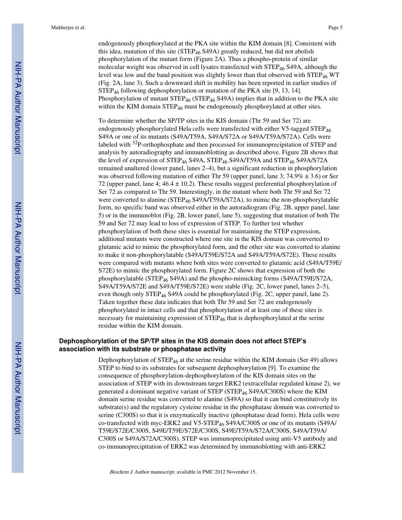endogenously phosphorylated at the PKA site within the KIM domain [8]. Consistent with this idea, mutation of this site ( $STEP_{46}$  S49A) greatly reduced, but did not abolish phosphorylation of the mutant form (Figure 2A). Thus a phospho-protein of similar molecular weight was observed in cell lysates transfected with  $STEP_{46} S49A$ , although the level was low and the band position was slightly lower than that observed with STEP<sub>46</sub> WT (Fig. 2A, lane 3). Such a downward shift in mobility has been reported in earlier studies of STEP46 following dephosphorylation or mutation of the PKA site [9, 13, 14]. Phosphorylation of mutant  $\text{STEP}_{46}$  (STEP<sub>46</sub> S49A) implies that in addition to the PKA site within the KIM domain  $\text{STEP}_{46}$  must be endogenously phosphorylated at other sites.

To determine whether the SP/TP sites in the KIS domain (Thr 59 and Ser 72) are endogenously phosphorylated Hela cells were transfected with either V5-tagged STEP<sup>46</sup> S49A or one of its mutants (S49A/T59A, S49A/S72A or S49A/T59A/S72A). Cells were labeled with 32P-orthophosphate and then processed for immunoprecipitation of STEP and analysis by autoradiography and immunoblotting as described above. Figure 2B shows that the level of expression of STEP46 S49A, STEP46 S49A/T59A and STEP46 S49A/S72A remained unaltered (lower panel, lanes 2–4), but a significant reduction in phosphorylation was observed following mutation of either Thr 59 (upper panel, lane 3; 74.9%  $\pm$  3.6) or Ser 72 (upper panel, lane 4;  $46.4 \pm 10.2$ ). These results suggest preferential phosphorylation of Ser 72 as compared to Thr 59. Interestingly, in the mutant where both Thr 59 and Ser 72 were converted to alanine (STEP<sub>46</sub> S49A/T59A/S72A), to mimic the non-phosphorylatable form, no specific band was observed either in the autoradiogram (Fig. 2B, upper panel, lane 5) or in the immunoblot (Fig. 2B, lower panel, lane 5), suggesting that mutation of both Thr 59 and Ser 72 may lead to loss of expression of STEP. To further test whether phosphorylation of both these sites is essential for maintaining the STEP expression, additional mutants were constructed where one site in the KIS domain was converted to glutamic acid to mimic the phosphorylated form, and the other site was converted to alanine to make it non-phosphorylatable (S49A/T59E/S72A and S49A/T59A/S72E). These results were compared with mutants where both sites were converted to glutamic acid (S49A/T59E/ S72E) to mimic the phosphorylated form. Figure 2C shows that expression of both the phosphorylatable (STEP46 S49A) and the phospho-mimicking forms (S49A/T59E/S72A, S49A/T59A/S72E and S49A/T59E/S72E) were stable (Fig. 2C, lower panel, lanes 2–5), even though only STEP<sub>46</sub> S49A could be phosphorylated (Fig. 2C, upper panel, lane 2). Taken together these data indicates that both Thr 59 and Ser 72 are endogenously phosphorylated in intact cells and that phosphorylation of at least one of these sites is necessary for maintaining expression of STEP<sub>46</sub> that is dephosphorylated at the serine residue within the KIM domain.

# **Dephosphorylation of the SP/TP sites in the KIS domain does not affect STEP's association with its substrate or phosphatase activity**

Dephosphorylation of  $STEP_{46}$  at the serine residue within the KIM domain (Ser 49) allows STEP to bind to its substrates for subsequent dephosphorylation [9]. To examine the consequence of phosphorylation-dephosphorylation of the KIS domain sites on the association of STEP with its downstream target ERK2 (extracellular regulated kinase 2), we generated a dominant negative variant of STEP (STEP46 S49A/C300S) where the KIM domain serine residue was converted to alanine (S49A) so that it can bind constitutively its substrate(s) and the regulatory cysteine residue in the phosphatase domain was converted to serine (C300S) so that it is enzymatically inactive (phosphatase dead form). Hela cells were co-transfected with myc-ERK2 and V5-STEP<sub>46</sub> S49A/C300S or one of its mutants (S49A/ T59E/S72E/C300S, S49E/T59E/S72E/C300S, S49E/T59A/S72A/C300S, S49A/T59A/ C300S or S49A/S72A/C300S). STEP was immunoprecipitated using anti-V5 antibody and co-immunoprecipitation of ERK2 was determined by immunoblotting with anti-ERK2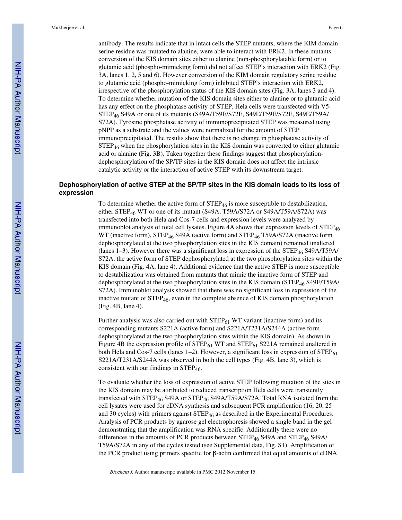antibody. The results indicate that in intact cells the STEP mutants, where the KIM domain serine residue was mutated to alanine, were able to interact with ERK2. In these mutants conversion of the KIS domain sites either to alanine (non-phosphorylatable form) or to glutamic acid (phospho-mimicking form) did not affect STEP's interaction with ERK2 (Fig. 3A, lanes 1, 2, 5 and 6). However conversion of the KIM domain regulatory serine residue to glutamic acid (phospho-mimicking form) inhibited STEP's interaction with ERK2, irrespective of the phosphorylation status of the KIS domain sites (Fig. 3A, lanes 3 and 4). To determine whether mutation of the KIS domain sites either to alanine or to glutamic acid has any effect on the phosphatase activity of STEP, Hela cells were transfected with V5- STEP46 S49A or one of its mutants (S49A/T59E/S72E, S49E/T59E/S72E, S49E/T59A/ S72A). Tyrosine phosphatase activity of immunoprecipitated STEP was measured using pNPP as a substrate and the values were normalized for the amount of STEP immunoprecipitated. The results show that there is no change in phosphatase activity of  $STEP<sub>46</sub>$  when the phosphorylation sites in the KIS domain was converted to either glutamic acid or alanine (Fig. 3B). Taken together these findings suggest that phosphorylationdephosphorylation of the SP/TP sites in the KIS domain does not affect the intrinsic catalytic activity or the interaction of active STEP with its downstream target.

# **Dephosphorylation of active STEP at the SP/TP sites in the KIS domain leads to its loss of expression**

To determine whether the active form of  $\text{STEP}_{46}$  is more susceptible to destabilization, either STEP<sub>46</sub> WT or one of its mutant (S49A, T59A/S72A or S49A/T59A/S72A) was transfected into both Hela and Cos-7 cells and expression levels were analyzed by immunoblot analysis of total cell lysates. Figure 4A shows that expression levels of STEP<sub>46</sub> WT (inactive form), STEP<sub>46</sub> S49A (active form) and STEP<sub>46</sub> T59A/S72A (inactive form dephosphorylated at the two phosphorylation sites in the KIS domain) remained unaltered (lanes 1–3). However there was a significant loss in expression of the  $\text{STEP}_{46}$  S49A/T59A/ S72A, the active form of STEP dephosphorylated at the two phosphorylation sites within the KIS domain (Fig. 4A, lane 4). Additional evidence that the active STEP is more susceptible to destabilization was obtained from mutants that mimic the inactive form of STEP and dephosphorylated at the two phosphorylation sites in the KIS domain (STEP46 S49E/T59A/ S72A). Immunoblot analysis showed that there was no significant loss in expression of the inactive mutant of  $\text{STEP}_{46}$ , even in the complete absence of KIS domain phosphorylation (Fig. 4B, lane 4).

Further analysis was also carried out with  $STEP_{61}$  WT variant (inactive form) and its corresponding mutants S221A (active form) and S221A/T231A/S244A (active form dephosphorylated at the two phosphorylation sites within the KIS domain). As shown in Figure 4B the expression profile of  $STEP_{61}$  WT and  $STEP_{61}$  S221A remained unaltered in both Hela and Cos-7 cells (lanes  $1-2$ ). However, a significant loss in expression of  $STEP_{61}$ S221A/T231A/S244A was observed in both the cell types (Fig. 4B, lane 3), which is consistent with our findings in  $STEP_{46}$ .

To evaluate whether the loss of expression of active STEP following mutation of the sites in the KIS domain may be attributed to reduced transcription Hela cells were transiently transfected with STEP46 S49A or STEP46 S49A/T59A/S72A. Total RNA isolated from the cell lysates were used for cDNA synthesis and subsequent PCR amplification (16, 20, 25 and 30 cycles) with primers against  $\text{STEP}_{46}$  as described in the Experimental Procedures. Analysis of PCR products by agarose gel electrophoresis showed a single band in the gel demonstrating that the amplification was RNA specific. Additionally there were no differences in the amounts of PCR products between  $\text{STEP}_{46}$  S49A and  $\text{STEP}_{46}$  S49A/ T59A/S72A in any of the cycles tested (see Supplemental data, Fig. S1). Amplification of the PCR product using primers specific for β-actin confirmed that equal amounts of cDNA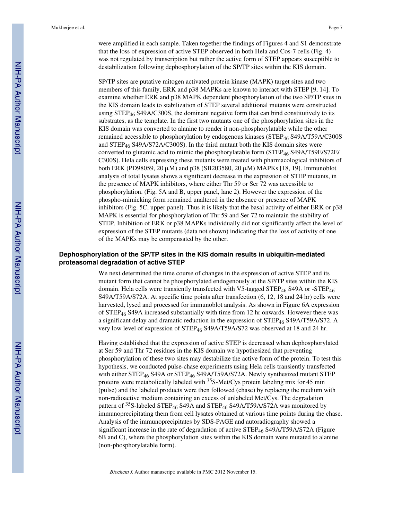were amplified in each sample. Taken together the findings of Figures 4 and S1 demonstrate that the loss of expression of active STEP observed in both Hela and Cos-7 cells (Fig. 4) was not regulated by transcription but rather the active form of STEP appears susceptible to destabilization following dephosphorylation of the SP/TP sites within the KIS domain.

SP/TP sites are putative mitogen activated protein kinase (MAPK) target sites and two members of this family, ERK and p38 MAPKs are known to interact with STEP [9, 14]. To examine whether ERK and p38 MAPK dependent phosphorylation of the two SP/TP sites in the KIS domain leads to stabilization of STEP several additional mutants were constructed using  $STEP_{46}$  S49A/C300S, the dominant negative form that can bind constitutively to its substrates, as the template. In the first two mutants one of the phosphorylation sites in the KIS domain was converted to alanine to render it non-phosphorylatable while the other remained accessible to phosphorylation by endogenous kinases (STEP46 S49A/T59A/C300S and  $STEP_{46} S49A/S72A/C300S$ ). In the third mutant both the KIS domain sites were converted to glutamic acid to mimic the phosphorylatable form  $(STEP<sub>46</sub> S49A/T59E/S72E/$ C300S). Hela cells expressing these mutants were treated with pharmacological inhibitors of both ERK (PD98059, 20 μM) and p38 (SB203580, 20 μM) MAPKs [18, 19]. Immunoblot analysis of total lysates shows a significant decrease in the expression of STEP mutants, in the presence of MAPK inhibitors, where either Thr 59 or Ser 72 was accessible to phosphorylation. (Fig. 5A and B, upper panel, lane 2). However the expression of the phospho-mimicking form remained unaltered in the absence or presence of MAPK inhibitors (Fig. 5C, upper panel). Thus it is likely that the basal activity of either ERK or p38 MAPK is essential for phosphorylation of Thr 59 and Ser 72 to maintain the stability of STEP. Inhibition of ERK or p38 MAPKs individually did not significantly affect the level of expression of the STEP mutants (data not shown) indicating that the loss of activity of one of the MAPKs may be compensated by the other.

# **Dephosphorylation of the SP/TP sites in the KIS domain results in ubiquitin-mediated proteasomal degradation of active STEP**

We next determined the time course of changes in the expression of active STEP and its mutant form that cannot be phosphorylated endogenously at the SP/TP sites within the KIS domain. Hela cells were transiently transfected with V5-tagged  $\text{STEP}_{46}$  S49A or -STEP<sub>46</sub> S49A/T59A/S72A. At specific time points after transfection (6, 12, 18 and 24 hr) cells were harvested, lysed and processed for immunoblot analysis. As shown in Figure 6A expression of STEP46 S49A increased substantially with time from 12 hr onwards. However there was a significant delay and dramatic reduction in the expression of  $STEP_{46}$  S49A/T59A/S72. A very low level of expression of STEP<sub>46</sub> S49A/T59A/S72 was observed at 18 and 24 hr.

Having established that the expression of active STEP is decreased when dephosphorylated at Ser 59 and Thr 72 residues in the KIS domain we hypothesized that preventing phosphorylation of these two sites may destabilize the active form of the protein. To test this hypothesis, we conducted pulse-chase experiments using Hela cells transiently transfected with either STEP<sub>46</sub> S49A or STEP<sub>46</sub> S49A/T59A/S72A. Newly synthesized mutant STEP proteins were metabolically labeled with  $35S-Met/Cys$  protein labeling mix for 45 min (pulse) and the labeled products were then followed (chase) by replacing the medium with non-radioactive medium containing an excess of unlabeled Met/Cys. The degradation pattern of <sup>35</sup>S-labeled STEP<sub>46</sub> S49A and STEP<sub>46</sub> S49A/T59A/S72A was monitored by immunoprecipitating them from cell lysates obtained at various time points during the chase. Analysis of the immunoprecipitates by SDS-PAGE and autoradiography showed a significant increase in the rate of degradation of active STEP<sub>46</sub> S49A/T59A/S72A (Figure 6B and C), where the phosphorylation sites within the KIS domain were mutated to alanine (non-phosphorylatable form).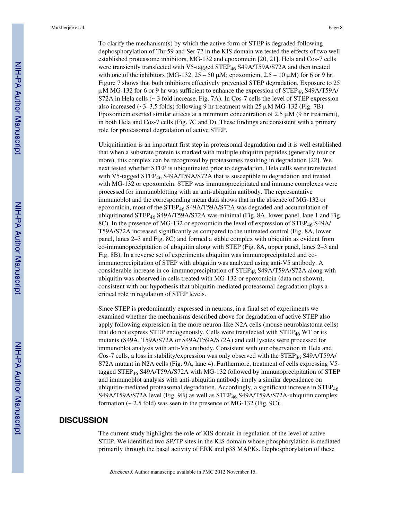To clarify the mechanism(s) by which the active form of STEP is degraded following dephosphorylation of Thr 59 and Ser 72 in the KIS domain we tested the effects of two well established proteasome inhibitors, MG-132 and epoxomicin [20, 21]. Hela and Cos-7 cells were transiently transfected with V5-tagged STEP<sub>46</sub> S49A/T59A/S72A and then treated with one of the inhibitors (MG-132,  $25 - 50 \mu$ M; epoxomicin,  $2.5 - 10 \mu$ M) for 6 or 9 hr. Figure 7 shows that both inhibitors effectively prevented STEP degradation. Exposure to 25 μM MG-132 for 6 or 9 hr was sufficient to enhance the expression of STEP<sub>46</sub> S49A/T59A/ S72A in Hela cells (~ 3 fold increase, Fig. 7A). In Cos-7 cells the level of STEP expression also increased ( $\sim$ 3–3.5 folds) following 9 hr treatment with 25  $\mu$ M MG-132 (Fig. 7B). Epoxomicin exerted similar effects at a minimum concentration of 2.5  $\mu$ M (9 hr treatment), in both Hela and Cos-7 cells (Fig. 7C and D). These findings are consistent with a primary role for proteasomal degradation of active STEP.

Ubiquitination is an important first step in proteasomal degradation and it is well established that when a substrate protein is marked with multiple ubiquitin peptides (generally four or more), this complex can be recognized by proteasomes resulting in degradation [22]. We next tested whether STEP is ubiquitinated prior to degradation. Hela cells were transfected with V5-tagged STEP<sub>46</sub> S49A/T59A/S72A that is susceptible to degradation and treated with MG-132 or epoxomicin. STEP was immunoprecipitated and immune complexes were processed for immunoblotting with an anti-ubiquitin antibody. The representative immunoblot and the corresponding mean data shows that in the absence of MG-132 or epoxomicin, most of the STEP<sub>46</sub> S49A/T59A/S72A was degraded and accumulation of ubiquitinated STEP<sub>46</sub> S49A/T59A/S72A was minimal (Fig. 8A, lower panel, lane 1 and Fig. 8C). In the presence of MG-132 or epoxomicin the level of expression of STEP<sub>46</sub> S49A/ T59A/S72A increased significantly as compared to the untreated control (Fig. 8A, lower panel, lanes 2–3 and Fig. 8C) and formed a stable complex with ubiquitin as evident from co-immunoprecipitation of ubiquitin along with STEP (Fig. 8A, upper panel, lanes 2–3 and Fig. 8B). In a reverse set of experiments ubiquitin was immunoprecipitated and coimmunoprecipitation of STEP with ubiquitin was analyzed using anti-V5 antibody. A considerable increase in co-immunoprecipitation of STEP46 S49A/T59A/S72A along with ubiquitin was observed in cells treated with MG-132 or epoxomicin (data not shown), consistent with our hypothesis that ubiquitin-mediated proteasomal degradation plays a critical role in regulation of STEP levels.

Since STEP is predominantly expressed in neurons, in a final set of experiments we examined whether the mechanisms described above for degradation of active STEP also apply following expression in the more neuron-like N2A cells (mouse neuroblastoma cells) that do not express STEP endogenously. Cells were transfected with  $\text{STEP}_{46}$  WT or its mutants (S49A, T59A/S72A or S49A/T59A/S72A) and cell lysates were processed for immunoblot analysis with anti-V5 antibody. Consistent with our observation in Hela and Cos-7 cells, a loss in stability/expression was only observed with the  $\text{STEP}_{46}$  S49A/T59A/ S72A mutant in N2A cells (Fig. 9A, lane 4). Furthermore, treatment of cells expressing V5 tagged STEP<sub>46</sub> S49A/T59A/S72A with MG-132 followed by immunoprecipitation of STEP and immunoblot analysis with anti-ubiquitin antibody imply a similar dependence on ubiquitin-mediated proteasomal degradation. Accordingly, a significant increase in  $\text{STEP}_{46}$ S49A/T59A/S72A level (Fig. 9B) as well as STEP<sub>46</sub> S49A/T59A/S72A-ubiquitin complex formation (~ 2.5 fold) was seen in the presence of MG-132 (Fig. 9C).

# **DISCUSSION**

The current study highlights the role of KIS domain in regulation of the level of active STEP. We identified two SP/TP sites in the KIS domain whose phosphorylation is mediated primarily through the basal activity of ERK and p38 MAPKs. Dephosphorylation of these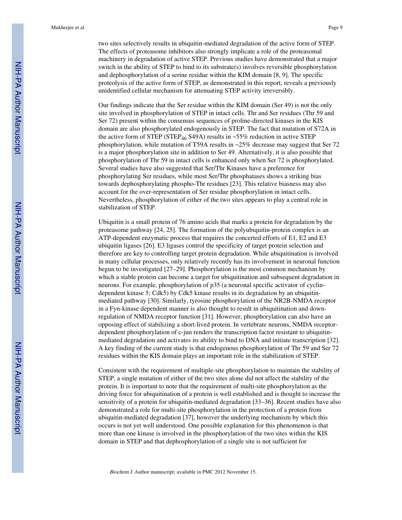two sites selectively results in ubiquitin-mediated degradation of the active form of STEP. The effects of proteasome inhibitors also strongly implicate a role of the proteasomal machinery in degradation of active STEP. Previous studies have demonstrated that a major switch in the ability of STEP to bind to its substrate(s) involves reversible phosphorylation and dephosphorylation of a serine residue within the KIM domain [8, 9]. The specific proteolysis of the active form of STEP, as demonstrated in this report, reveals a previously unidentified cellular mechanism for attenuating STEP activity irreversibly.

Our findings indicate that the Ser residue within the KIM domain (Ser 49) is not the only site involved in phosphorylation of STEP in intact cells. Thr and Ser residues (Thr 59 and Ser 72) present within the consensus sequences of proline-directed kinases in the KIS domain are also phosphorylated endogenously in STEP. The fact that mutation of S72A in the active form of STEP (STEP<sub>46</sub> S49A) results in ~55% reduction in active STEP phosphorylation, while mutation of T59A results in ~25% decrease may suggest that Ser 72 is a major phosphorylation site in addition to Ser 49. Alternatively, it is also possible that phosphorylation of Thr 59 in intact cells is enhanced only when Ser 72 is phosphorylated. Several studies have also suggested that Ser/Thr Kinases have a preference for phosphorylating Ser residues, while most Ser/Thr phosphatases shows a striking bias towards dephosphorylating phospho-Thr residues [23]. This relative biasness may also account for the over-representation of Ser residue phosphorylation in intact cells. Nevertheless, phosphorylation of either of the two sites appears to play a central role in stabilization of STEP.

Ubiquitin is a small protein of 76 amino acids that marks a protein for degradation by the proteasome pathway [24, 25]. The formation of the polyubiquitin-protein complex is an ATP-dependent enzymatic process that requires the concerted efforts of E1, E2 and E3 ubiquitin ligases [26]. E3 ligases control the specificity of target protein selection and therefore are key to controlling target protein degradation. While ubiquitination is involved in many cellular processes, only relatively recently has its involvement in neuronal function begun to be investigated [27–29]. Phosphorylation is the most common mechanism by which a stable protein can become a target for ubiquitination and subsequent degradation in neurons. For example, phosphorylation of p35 (a neuronal specific activator of cyclindependent kinase 5; Cdk5) by Cdk5 kinase results in its degradation by an ubiquitinmediated pathway [30]. Similarly, tyrosine phosphorylation of the NR2B-NMDA receptor in a Fyn-kinase dependent manner is also thought to result in ubiquitination and downregulation of NMDA receptor function [31]. However, phosphorylation can also have an opposing effect of stabilizing a short-lived protein. In vertebrate neurons, NMDA receptordependent phosphorylation of c-jun renders the transcription factor resistant to ubiquitinmediated degradation and activates its ability to bind to DNA and initiate transcription [32]. A key finding of the current study is that endogenous phosphorylation of Thr 59 and Ser 72 residues within the KIS domain plays an important role in the stabilization of STEP.

Consistent with the requirement of multiple-site phosphorylation to maintain the stability of STEP, a single mutation of either of the two sites alone did not affect the stability of the protein. It is important to note that the requirement of multi-site phosphorylation as the driving force for ubiquitination of a protein is well established and is thought to increase the sensitivity of a protein for ubiquitin-mediated degradation [33–36]. Recent studies have also demonstrated a role for multi-site phosphorylation in the protection of a protein from ubiquitin-mediated degradation [37], however the underlying mechanism by which this occurs is not yet well understood. One possible explanation for this phenomenon is that more than one kinase is involved in the phosphorylation of the two sites within the KIS domain in STEP and that dephosphorylation of a single site is not sufficient for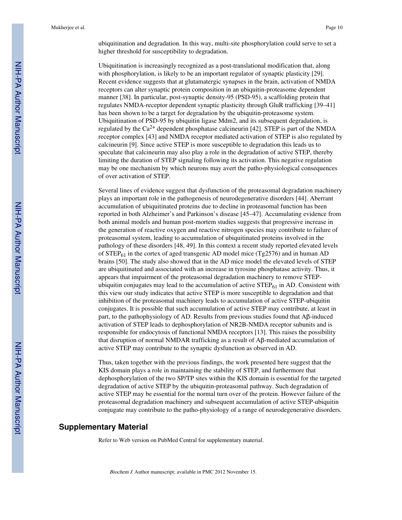ubiquitination and degradation. In this way, multi-site phosphorylation could serve to set a higher threshold for susceptibility to degradation.

Ubiquitination is increasingly recognized as a post-translational modification that, along with phosphorylation, is likely to be an important regulator of synaptic plasticity [29]. Recent evidence suggests that at glutamatergic synapses in the brain, activation of NMDA receptors can alter synaptic protein composition in an ubiquitin-proteasome dependent manner [38]. In particular, post-synaptic density-95 (PSD-95), a scaffolding protein that regulates NMDA-receptor dependent synaptic plasticity through GluR trafficking [39–41] has been shown to be a target for degradation by the ubiquitin-proteasome system. Ubiquitination of PSD-95 by ubiquitin ligase Mdm2, and its subsequent degradation, is regulated by the  $Ca^{2+}$  dependent phosphatase calcineurin [42]. STEP is part of the NMDA receptor complex [43] and NMDA receptor mediated activation of STEP is also regulated by calcineurin [9]. Since active STEP is more susceptible to degradation this leads us to speculate that calcineurin may also play a role in the degradation of active STEP, thereby limiting the duration of STEP signaling following its activation. This negative regulation may be one mechanism by which neurons may avert the patho-physiological consequences of over activation of STEP.

Several lines of evidence suggest that dysfunction of the proteasomal degradation machinery plays an important role in the pathogenesis of neurodegenerative disorders [44]. Aberrant accumulation of ubiquitinated proteins due to decline in proteasomal function has been reported in both Alzheimer's and Parkinson's disease [45–47]. Accumulating evidence from both animal models and human post-mortem studies suggests that progressive increase in the generation of reactive oxygen and reactive nitrogen species may contribute to failure of proteasomal system, leading to accumulation of ubiquitinated proteins involved in the pathology of these disorders [48, 49]. In this context a recent study reported elevated levels of  $STEP_{61}$  in the cortex of aged transgenic AD model mice (Tg2576) and in human AD brains [50]. The study also showed that in the AD mice model the elevated levels of STEP are ubiquitinated and associated with an increase in tyrosine phosphatase activity. Thus, it appears that impairment of the proteasomal degradation machinery to remove STEPubiquitin conjugates may lead to the accumulation of active  $\text{STEP}_{61}$  in AD. Consistent with this view our study indicates that active STEP is more susceptible to degradation and that inhibition of the proteasomal machinery leads to accumulation of active STEP-ubiquitin conjugates. It is possible that such accumulation of active STEP may contribute, at least in part, to the pathophysiology of AD. Results from previous studies found that  $A\beta$ -induced activation of STEP leads to dephosphorylation of NR2B-NMDA receptor subunits and is responsible for endocytosis of functional NMDA receptors [13]. This raises the possibility that disruption of normal NMDAR trafficking as a result of Aβ-mediated accumulation of active STEP may contribute to the synaptic dysfunction as observed in AD.

Thus, taken together with the previous findings, the work presented here suggest that the KIS domain plays a role in maintaining the stability of STEP, and furthermore that dephosphorylation of the two SP/TP sites within the KIS domain is essential for the targeted degradation of active STEP by the ubiquitin-proteasomal pathway. Such degradation of active STEP may be essential for the normal turn over of the protein. However failure of the proteasomal degradation machinery and subsequent accumulation of active STEP-ubiquitin conjugate may contribute to the patho-physiology of a range of neurodegenerative disorders.

# **Supplementary Material**

Refer to Web version on PubMed Central for supplementary material.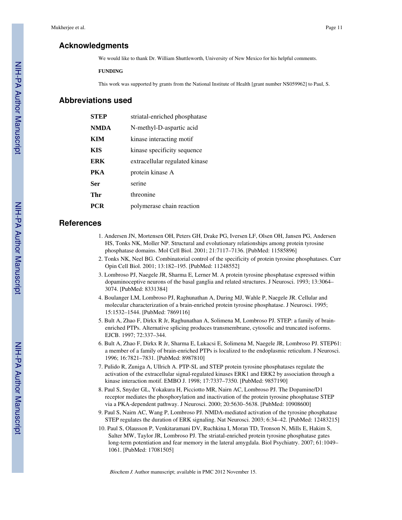# **Acknowledgments**

We would like to thank Dr. William Shuttleworth, University of New Mexico for his helpful comments.

#### **FUNDING**

This work was supported by grants from the National Institute of Health [grant number NS059962] to Paul, S.

# **Abbreviations used**

| <b>STEP</b> | striatal-enriched phosphatase  |
|-------------|--------------------------------|
| <b>NMDA</b> | N-methyl-D-aspartic acid       |
| KIM         | kinase interacting motif       |
| KIS         | kinase specificity sequence    |
| ERK         | extracellular regulated kinase |
| PKA         | protein kinase A               |
| Ser         | serine                         |
| Thr         | threonine                      |
| <b>PCR</b>  | polymerase chain reaction      |
|             |                                |

# **References**

- 1. Andersen JN, Mortensen OH, Peters GH, Drake PG, Iversen LF, Olsen OH, Jansen PG, Andersen HS, Tonks NK, Moller NP. Structural and evolutionary relationships among protein tyrosine phosphatase domains. Mol Cell Biol. 2001; 21:7117–7136. [PubMed: 11585896]
- 2. Tonks NK, Neel BG. Combinatorial control of the specificity of protein tyrosine phosphatases. Curr Opin Cell Biol. 2001; 13:182–195. [PubMed: 11248552]
- 3. Lombroso PJ, Naegele JR, Sharma E, Lerner M. A protein tyrosine phosphatase expressed within dopaminoceptive neurons of the basal ganglia and related structures. J Neurosci. 1993; 13:3064– 3074. [PubMed: 8331384]
- 4. Boulanger LM, Lombroso PJ, Raghunathan A, During MJ, Wahle P, Naegele JR. Cellular and molecular characterization of a brain-enriched protein tyrosine phosphatase. J Neurosci. 1995; 15:1532–1544. [PubMed: 7869116]
- 5. Bult A, Zhao F, Dirkx R Jr, Raghunathan A, Solimena M, Lombroso PJ. STEP: a family of brainenriched PTPs. Alternative splicing produces transmembrane, cytosolic and truncated isoforms. EJCB. 1997; 72:337–344.
- 6. Bult A, Zhao F, Dirkx R Jr, Sharma E, Lukacsi E, Solimena M, Naegele JR, Lombroso PJ. STEP61: a member of a family of brain-enriched PTPs is localized to the endoplasmic reticulum. J Neurosci. 1996; 16:7821–7831. [PubMed: 8987810]
- 7. Pulido R, Zuniga A, Ullrich A. PTP-SL and STEP protein tyrosine phosphatases regulate the activation of the extracellular signal-regulated kinases ERK1 and ERK2 by association through a kinase interaction motif. EMBO J. 1998; 17:7337–7350. [PubMed: 9857190]
- 8. Paul S, Snyder GL, Yokakura H, Picciotto MR, Nairn AC, Lombroso PJ. The Dopamine/D1 receptor mediates the phosphorylation and inactivation of the protein tyrosine phosphatase STEP via a PKA-dependent pathway. J Neurosci. 2000; 20:5630–5638. [PubMed: 10908600]
- 9. Paul S, Nairn AC, Wang P, Lombroso PJ. NMDA-mediated activation of the tyrosine phosphatase STEP regulates the duration of ERK signaling. Nat Neurosci. 2003; 6:34–42. [PubMed: 12483215]
- 10. Paul S, Olausson P, Venkitaramani DV, Ruchkina I, Moran TD, Tronson N, Mills E, Hakim S, Salter MW, Taylor JR, Lombroso PJ. The striatal-enriched protein tyrosine phosphatase gates long-term potentiation and fear memory in the lateral amygdala. Biol Psychiatry. 2007; 61:1049– 1061. [PubMed: 17081505]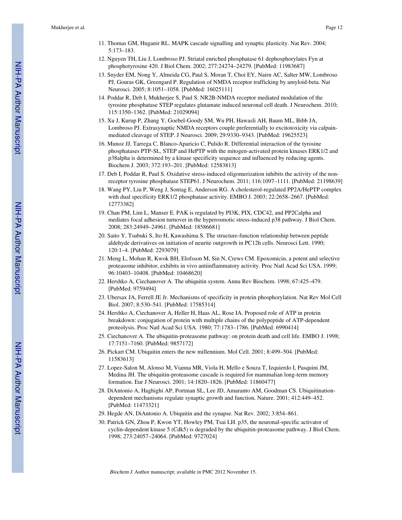- 11. Thomas GM, Huganir RL. MAPK cascade signalling and synaptic plasticity. Nat Rev. 2004; 5:173–183.
- 12. Nguyen TH, Liu J, Lombroso PJ. Striatal enriched phosphatase 61 dephosphorylates Fyn at phosphotyrosine 420. J Biol Chem. 2002; 277:24274–24279. [PubMed: 11983687]
- 13. Snyder EM, Nong Y, Almeida CG, Paul S, Moran T, Choi EY, Nairn AC, Salter MW, Lombroso PJ, Gouras GK, Greengard P. Regulation of NMDA receptor trafficking by amyloid-beta. Nat Neurosci. 2005; 8:1051–1058. [PubMed: 16025111]
- 14. Poddar R, Deb I, Mukherjee S, Paul S. NR2B-NMDA receptor mediated modulation of the tyrosine phosphatase STEP regulates glutamate induced neuronal cell death. J Neurochem. 2010; 115:1350–1362. [PubMed: 21029094]
- 15. Xu J, Kurup P, Zhang Y, Goebel-Goody SM, Wu PH, Hawasli AH, Baum ML, Bibb JA, Lombroso PJ. Extrasynaptic NMDA receptors couple preferentially to excitotoxicity via calpainmediated cleavage of STEP. J Neurosci. 2009; 29:9330–9343. [PubMed: 19625523]
- 16. Munoz JJ, Tarrega C, Blanco-Aparicio C, Pulido R. Differential interaction of the tyrosine phosphatases PTP-SL, STEP and HePTP with the mitogen-activated protein kinases ERK1/2 and p38alpha is determined by a kinase specificity sequence and influenced by reducing agents. Biochem J. 2003; 372:193–201. [PubMed: 12583813]
- 17. Deb I, Poddar R, Paul S. Oxidative stress-induced oligomerization inhibits the activity of the nonreceptor tyrosine phosphatase STEP61. J Neurochem. 2011; 116:1097–1111. [PubMed: 21198639]
- 18. Wang PY, Liu P, Weng J, Sontag E, Anderson RG. A cholesterol-regulated PP2A/HePTP complex with dual specificity ERK1/2 phosphatase activity. EMBO J. 2003; 22:2658–2667. [PubMed: 12773382]
- 19. Chan PM, Lim L, Manser E. PAK is regulated by PI3K, PIX, CDC42, and PP2Calpha and mediates focal adhesion turnover in the hyperosmotic stress-induced p38 pathway. J Biol Chem. 2008; 283:24949–24961. [PubMed: 18586681]
- 20. Saito Y, Tsubuki S, Ito H, Kawashima S. The structure-function relationship between peptide aldehyde derivatives on initiation of neurite outgrowth in PC12h cells. Neurosci Lett. 1990; 120:1–4. [PubMed: 2293079]
- 21. Meng L, Mohan R, Kwok BH, Elofsson M, Sin N, Crews CM. Epoxomicin, a potent and selective proteasome inhibitor, exhibits in vivo antiinflammatory activity. Proc Natl Acad Sci USA. 1999; 96:10403–10408. [PubMed: 10468620]
- 22. Hershko A, Ciechanover A. The ubiquitin system. Annu Rev Biochem. 1998; 67:425–479. [PubMed: 9759494]
- 23. Ubersax JA, Ferrell JE Jr. Mechanisms of specificity in protein phosphorylation. Nat Rev Mol Cell Biol. 2007; 8:530–541. [PubMed: 17585314]
- 24. Hershko A, Ciechanover A, Heller H, Haas AL, Rose IA. Proposed role of ATP in protein breakdown: conjugation of protein with multiple chains of the polypeptide of ATP-dependent proteolysis. Proc Natl Acad Sci USA. 1980; 77:1783–1786. [PubMed: 6990414]
- 25. Ciechanover A. The ubiquitin-proteasome pathway: on protein death and cell life. EMBO J. 1998; 17:7151–7160. [PubMed: 9857172]
- 26. Pickart CM. Ubiquitin enters the new millennium. Mol Cell. 2001; 8:499–504. [PubMed: 11583613]
- 27. Lopez-Salon M, Alonso M, Vianna MR, Viola H, Mello e Souza T, Izquierdo I, Pasquini JM, Medina JH. The ubiquitin-proteasome cascade is required for mammalian long-term memory formation. Eur J Neurosci. 2001; 14:1820–1826. [PubMed: 11860477]
- 28. DiAntonio A, Haghighi AP, Portman SL, Lee JD, Amaranto AM, Goodman CS. Ubiquitinationdependent mechanisms regulate synaptic growth and function. Nature. 2001; 412:449–452. [PubMed: 11473321]
- 29. Hegde AN, DiAntonio A. Ubiquitin and the synapse. Nat Rev. 2002; 3:854–861.
- 30. Patrick GN, Zhou P, Kwon YT, Howley PM, Tsai LH. p35, the neuronal-specific activator of cyclin-dependent kinase 5 (Cdk5) is degraded by the ubiquitin-proteasome pathway. J Biol Chem. 1998; 273:24057–24064. [PubMed: 9727024]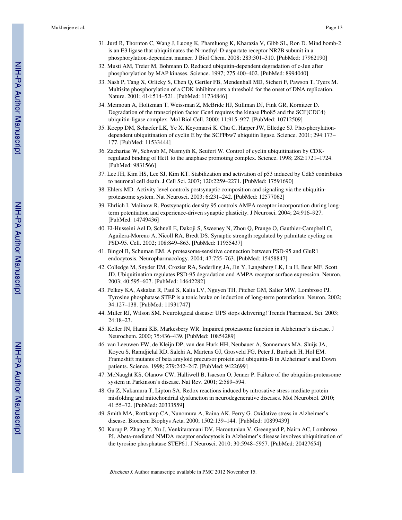- 31. Jurd R, Thornton C, Wang J, Luong K, Phamluong K, Kharazia V, Gibb SL, Ron D. Mind bomb-2 is an E3 ligase that ubiquitinates the N-methyl-D-aspartate receptor NR2B subunit in a phosphorylation-dependent manner. J Biol Chem. 2008; 283:301–310. [PubMed: 17962190]
- 32. Musti AM, Treier M, Bohmann D. Reduced ubiquitin-dependent degradation of c-Jun after phosphorylation by MAP kinases. Science. 1997; 275:400–402. [PubMed: 8994040]
- 33. Nash P, Tang X, Orlicky S, Chen Q, Gertler FB, Mendenhall MD, Sicheri F, Pawson T, Tyers M. Multisite phosphorylation of a CDK inhibitor sets a threshold for the onset of DNA replication. Nature. 2001; 414:514–521. [PubMed: 11734846]
- 34. Meimoun A, Holtzman T, Weissman Z, McBride HJ, Stillman DJ, Fink GR, Kornitzer D. Degradation of the transcription factor Gcn4 requires the kinase Pho85 and the SCF(CDC4) ubiquitin-ligase complex. Mol Biol Cell. 2000; 11:915–927. [PubMed: 10712509]
- 35. Koepp DM, Schaefer LK, Ye X, Keyomarsi K, Chu C, Harper JW, Elledge SJ. Phosphorylationdependent ubiquitination of cyclin E by the SCFFbw7 ubiquitin ligase. Science. 2001; 294:173– 177. [PubMed: 11533444]
- 36. Zachariae W, Schwab M, Nasmyth K, Seufert W. Control of cyclin ubiquitination by CDKregulated binding of Hct1 to the anaphase promoting complex. Science. 1998; 282:1721–1724. [PubMed: 9831566]
- 37. Lee JH, Kim HS, Lee SJ, Kim KT. Stabilization and activation of p53 induced by Cdk5 contributes to neuronal cell death. J Cell Sci. 2007; 120:2259–2271. [PubMed: 17591690]
- 38. Ehlers MD. Activity level controls postsynaptic composition and signaling via the ubiquitinproteasome system. Nat Neurosci. 2003; 6:231–242. [PubMed: 12577062]
- 39. Ehrlich I, Malinow R. Postsynaptic density 95 controls AMPA receptor incorporation during longterm potentiation and experience-driven synaptic plasticity. J Neurosci. 2004; 24:916–927. [PubMed: 14749436]
- 40. El-Husseini Ael D, Schnell E, Dakoji S, Sweeney N, Zhou Q, Prange O, Gauthier-Campbell C, Aguilera-Moreno A, Nicoll RA, Bredt DS. Synaptic strength regulated by palmitate cycling on PSD-95. Cell. 2002; 108:849–863. [PubMed: 11955437]
- 41. Bingol B, Schuman EM. A proteasome-sensitive connection between PSD-95 and GluR1 endocytosis. Neuropharmacology. 2004; 47:755–763. [PubMed: 15458847]
- 42. Colledge M, Snyder EM, Crozier RA, Soderling JA, Jin Y, Langeberg LK, Lu H, Bear MF, Scott JD. Ubiquitination regulates PSD-95 degradation and AMPA receptor surface expression. Neuron. 2003; 40:595–607. [PubMed: 14642282]
- 43. Pelkey KA, Askalan R, Paul S, Kalia LV, Nguyen TH, Pitcher GM, Salter MW, Lombroso PJ. Tyrosine phosphatase STEP is a tonic brake on induction of long-term potentiation. Neuron. 2002; 34:127–138. [PubMed: 11931747]
- 44. Miller RJ, Wilson SM. Neurological disease: UPS stops delivering! Trends Pharmacol. Sci. 2003; 24:18–23.
- 45. Keller JN, Hanni KB, Markesbery WR. Impaired proteasome function in Alzheimer's disease. J Neurochem. 2000; 75:436–439. [PubMed: 10854289]
- 46. van Leeuwen FW, de Kleijn DP, van den Hurk HH, Neubauer A, Sonnemans MA, Sluijs JA, Koycu S, Ramdjielal RD, Salehi A, Martens GJ, Grosveld FG, Peter J, Burbach H, Hol EM. Frameshift mutants of beta amyloid precursor protein and ubiquitin-B in Alzheimer's and Down patients. Science. 1998; 279:242–247. [PubMed: 9422699]
- 47. McNaught KS, Olanow CW, Halliwell B, Isacson O, Jenner P. Failure of the ubiquitin-proteasome system in Parkinson's disease. Nat Rev. 2001; 2:589–594.
- 48. Gu Z, Nakamura T, Lipton SA. Redox reactions induced by nitrosative stress mediate protein misfolding and mitochondrial dysfunction in neurodegenerative diseases. Mol Neurobiol. 2010; 41:55–72. [PubMed: 20333559]
- 49. Smith MA, Rottkamp CA, Nunomura A, Raina AK, Perry G. Oxidative stress in Alzheimer's disease. Biochem Biophys Acta. 2000; 1502:139–144. [PubMed: 10899439]
- 50. Kurup P, Zhang Y, Xu J, Venkitaramani DV, Haroutunian V, Greengard P, Nairn AC, Lombroso PJ. Abeta-mediated NMDA receptor endocytosis in Alzheimer's disease involves ubiquitination of the tyrosine phosphatase STEP61. J Neurosci. 2010; 30:5948–5957. [PubMed: 20427654]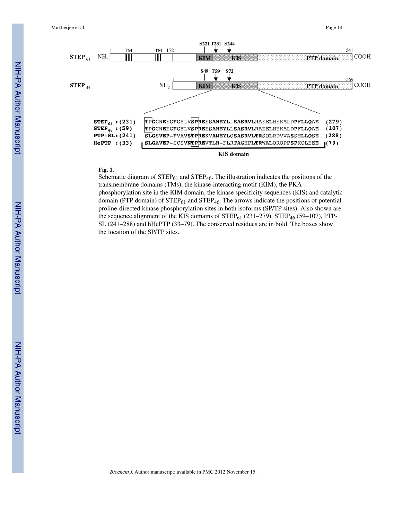

#### **Fig. 1.**

Schematic diagram of  $STEP_{61}$  and  $STEP_{46}$ . The illustration indicates the positions of the transmembrane domains (TMs), the kinase-interacting motif (KIM), the PKA phosphorylation site in the KIM domain, the kinase specificity sequences (KIS) and catalytic domain (PTP domain) of  $\text{STEP}_{61}$  and  $\text{STEP}_{46}$ . The arrows indicate the positions of potential proline-directed kinase phosphorylation sites in both isoforms (SP/TP sites). Also shown are the sequence alignment of the KIS domains of  $STEP_{61}$  (231–279),  $STEP_{46}$  (59–107), PTP-SL (241–288) and hHePTP (33–79). The conserved residues are in bold. The boxes show the location of the SP/TP sites.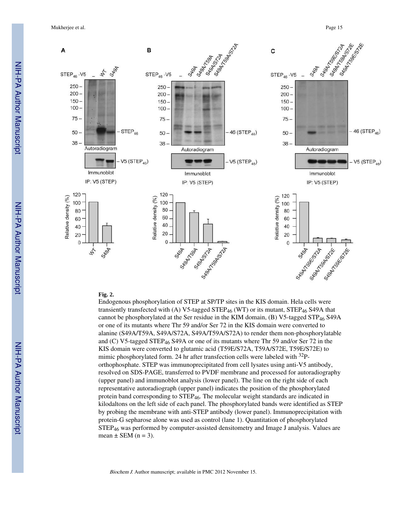

#### **Fig. 2.**

Endogenous phosphorylation of STEP at SP/TP sites in the KIS domain. Hela cells were transiently transfected with (A) V5-tagged STEP<sub>46</sub> (WT) or its mutant, STEP<sub>46</sub> S49A that cannot be phosphorylated at the Ser residue in the KIM domain, (B) V5-tagged STP<sub>46</sub> S49A or one of its mutants where Thr 59 and/or Ser 72 in the KIS domain were converted to alanine (S49A/T59A, S49A/S72A, S49A/T59A/S72A) to render them non-phosphorylatable and (C) V5-tagged STEP46 S49A or one of its mutants where Thr 59 and/or Ser 72 in the KIS domain were converted to glutamic acid (T59E/S72A, T59A/S72E, T59E/S72E) to mimic phosphorylated form. 24 hr after transfection cells were labeled with  $32P$ orthophosphate. STEP was immunoprecipitated from cell lysates using anti-V5 antibody, resolved on SDS-PAGE, transferred to PVDF membrane and processed for autoradiography (upper panel) and immunoblot analysis (lower panel). The line on the right side of each representative autoradiograph (upper panel) indicates the position of the phosphorylated protein band corresponding to STEP<sub>46</sub>. The molecular weight standards are indicated in kilodaltons on the left side of each panel. The phosphorylated bands were identified as STEP by probing the membrane with anti-STEP antibody (lower panel). Immunoprecipitation with protein-G sepharose alone was used as control (lane 1). Quantitation of phosphorylated  $STEP_{46}$  was performed by computer-assisted densitometry and Image J analysis. Values are mean  $\pm$  SEM (n = 3).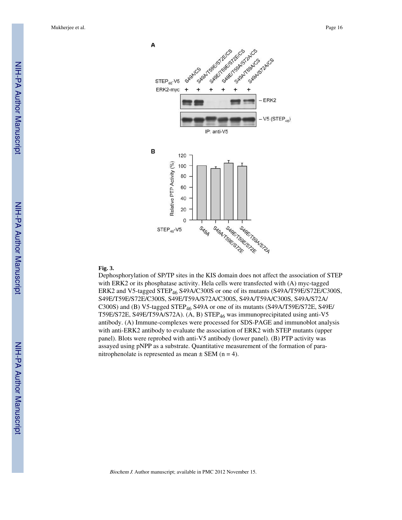

#### **Fig. 3.**

Dephosphorylation of SP/TP sites in the KIS domain does not affect the association of STEP with ERK2 or its phosphatase activity. Hela cells were transfected with (A) myc-tagged ERK2 and V5-tagged STEP<sub>46</sub> S49A/C300S or one of its mutants (S49A/T59E/S72E/C300S, S49E/T59E/S72E/C300S, S49E/T59A/S72A/C300S, S49A/T59A/C300S, S49A/S72A/ C300S) and (B) V5-tagged STEP<sub>46</sub> S49A or one of its mutants (S49A/T59E/S72E, S49E/ T59E/S72E, S49E/T59A/S72A). (A, B) STEP46 was immunoprecipitated using anti-V5 antibody. (A) Immune-complexes were processed for SDS-PAGE and immunoblot analysis with anti-ERK2 antibody to evaluate the association of ERK2 with STEP mutants (upper panel). Blots were reprobed with anti-V5 antibody (lower panel). (B) PTP activity was assayed using pNPP as a substrate. Quantitative measurement of the formation of paranitrophenolate is represented as mean  $\pm$  SEM (n = 4).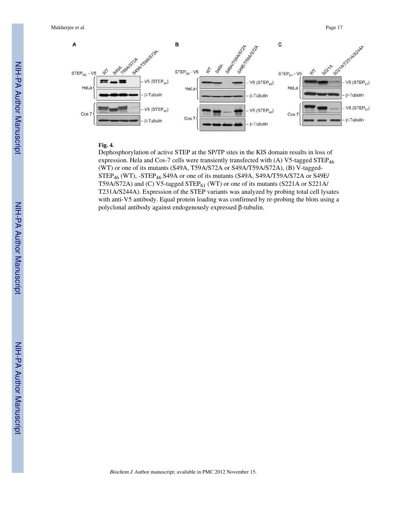

# **Fig. 4.**

Dephosphorylation of active STEP at the SP/TP sites in the KIS domain results in loss of expression. Hela and Cos-7 cells were transiently transfected with (A) V5-tagged STEP<sub>46</sub> (WT) or one of its mutants (S49A, T59A/S72A or S49A/T59A/S72A), (B) V-tagged- $STEP_{46}$  (WT), -STEP<sub>46</sub> S49A or one of its mutants (S49A, S49A/T59A/S72A or S49E/ T59A/S72A) and (C) V5-tagged STEP $_{61}$  (WT) or one of its mutants (S221A or S221A/ T231A/S244A). Expression of the STEP variants was analyzed by probing total cell lysates with anti-V5 antibody. Equal protein loading was confirmed by re-probing the blots using a polyclonal antibody against endogenously expressed β-tubulin.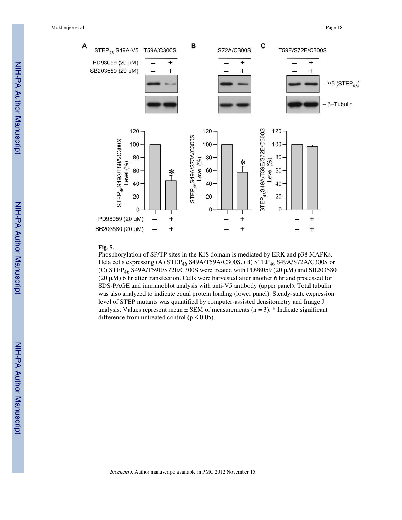

#### **Fig. 5.**

Phosphorylation of SP/TP sites in the KIS domain is mediated by ERK and p38 MAPKs. Hela cells expressing (A) STEP46 S49A/T59A/C300S, (B) STEP46 S49A/S72A/C300S or (C) STEP<sub>46</sub> S49A/T59E/S72E/C300S were treated with PD98059 (20  $\mu$ M) and SB203580 (20  $\mu$ M) 6 hr after transfection. Cells were harvested after another 6 hr and processed for SDS-PAGE and immunoblot analysis with anti-V5 antibody (upper panel). Total tubulin was also analyzed to indicate equal protein loading (lower panel). Steady-state expression level of STEP mutants was quantified by computer-assisted densitometry and Image J analysis. Values represent mean  $\pm$  SEM of measurements (n = 3). \* Indicate significant difference from untreated control ( $p < 0.05$ ).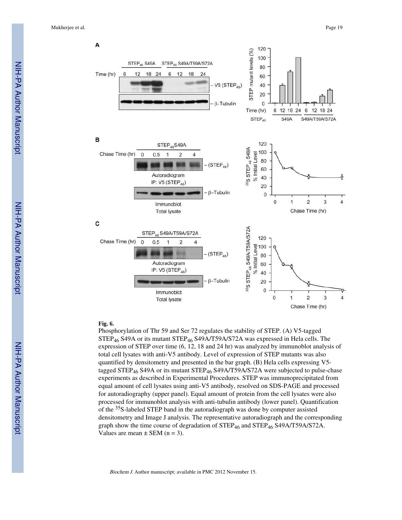

#### **Fig. 6.**

Phosphorylation of Thr 59 and Ser 72 regulates the stability of STEP. (A) V5-tagged STEP<sub>46</sub> S49A or its mutant STEP<sub>46</sub> S49A/T59A/S72A was expressed in Hela cells. The expression of STEP over time (6, 12, 18 and 24 hr) was analyzed by immunoblot analysis of total cell lysates with anti-V5 antibody. Level of expression of STEP mutants was also quantified by densitometry and presented in the bar graph. (B) Hela cells expressing V5 tagged STEP<sub>46</sub> S49A or its mutant STEP<sub>46</sub> S49A/T59A/S72A were subjected to pulse-chase experiments as described in Experimental Procedures. STEP was immunoprecipitated from equal amount of cell lysates using anti-V5 antibody, resolved on SDS-PAGE and processed for autoradiography (upper panel). Equal amount of protein from the cell lysates were also processed for immunoblot analysis with anti-tubulin antibody (lower panel). Quantification of the 35S-labeled STEP band in the autoradiograph was done by computer assisted densitometry and Image J analysis. The representative autoradiograph and the corresponding graph show the time course of degradation of  $STEP_{46}$  and  $STEP_{46}$  S49A/T59A/S72A. Values are mean  $\pm$  SEM (n = 3).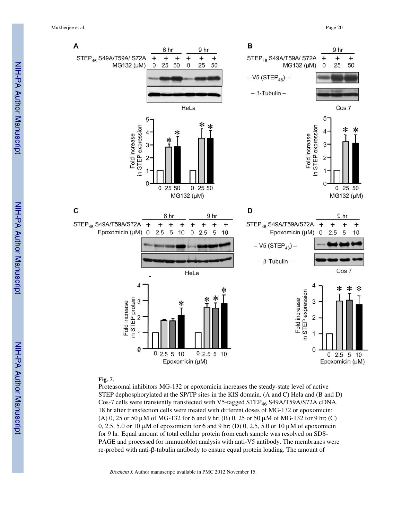Mukherjee et al. Page 20



# **Fig. 7.**

Proteasomal inhibitors MG-132 or epoxomicin increases the steady-state level of active STEP dephosphorylated at the SP/TP sites in the KIS domain. (A and C) Hela and (B and D) Cos-7 cells were transiently transfected with V5-tagged STEP46 S49A/T59A/S72A cDNA. 18 hr after transfection cells were treated with different doses of MG-132 or epoxomicin: (A) 0, 25 or 50  $\mu$ M of MG-132 for 6 and 9 hr; (B) 0, 25 or 50  $\mu$ M of MG-132 for 9 hr; (C) 0, 2.5, 5.0 or 10 μM of epoxomicin for 6 and 9 hr; (D) 0, 2.5, 5.0 or 10 μM of epoxomicin for 9 hr. Equal amount of total cellular protein from each sample was resolved on SDS-PAGE and processed for immunoblot analysis with anti-V5 antibody. The membranes were re-probed with anti-β-tubulin antibody to ensure equal protein loading. The amount of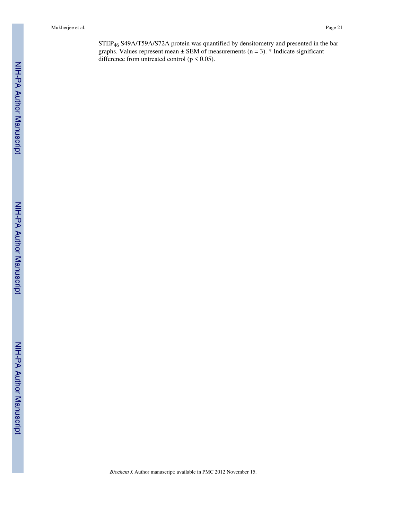STEP46 S49A/T59A/S72A protein was quantified by densitometry and presented in the bar graphs. Values represent mean  $\pm$  SEM of measurements (n = 3). \* Indicate significant difference from untreated control ( $p < 0.05$ ).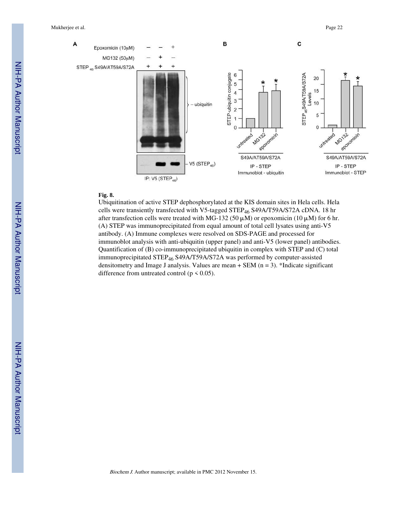

# **Fig. 8.**

Ubiquitination of active STEP dephosphorylated at the KIS domain sites in Hela cells. Hela cells were transiently transfected with V5-tagged STEP<sub>46</sub> S49A/T59A/S72A cDNA. 18 hr after transfection cells were treated with MG-132 (50  $\mu$ M) or epoxomicin (10  $\mu$ M) for 6 hr. (A) STEP was immunoprecipitated from equal amount of total cell lysates using anti-V5 antibody. (A) Immune complexes were resolved on SDS-PAGE and processed for immunoblot analysis with anti-ubiquitin (upper panel) and anti-V5 (lower panel) antibodies. Quantification of (B) co-immunoprecipitated ubiquitin in complex with STEP and (C) total immunoprecipitated STEP<sub>46</sub> S49A/T59A/S72A was performed by computer-assisted densitometry and Image J analysis. Values are mean  $+$  SEM (n = 3). \*Indicate significant difference from untreated control ( $p \le 0.05$ ).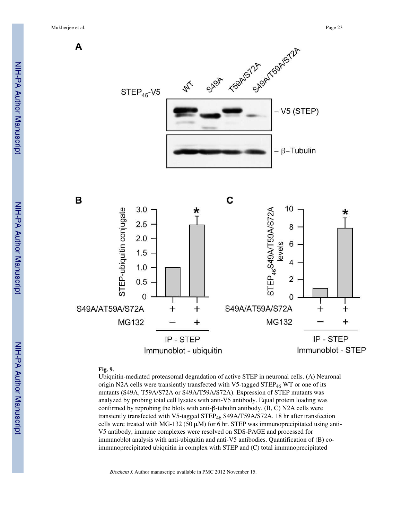Mukherjee et al. Page 23



# **Fig. 9.**

Ubiquitin-mediated proteasomal degradation of active STEP in neuronal cells. (A) Neuronal origin N2A cells were transiently transfected with V5-tagged STEP<sub>46</sub> WT or one of its mutants (S49A, T59A/S72A or S49A/T59A/S72A). Expression of STEP mutants was analyzed by probing total cell lysates with anti-V5 antibody. Equal protein loading was confirmed by reprobing the blots with anti-β-tubulin antibody. (B, C) N2A cells were transiently transfected with V5-tagged STEP<sub>46</sub> S49A/T59A/S72A. 18 hr after transfection cells were treated with MG-132 (50  $\mu$ M) for 6 hr. STEP was immunoprecipitated using anti-V5 antibody, immune complexes were resolved on SDS-PAGE and processed for immunoblot analysis with anti-ubiquitin and anti-V5 antibodies. Quantification of (B) coimmunoprecipitated ubiquitin in complex with STEP and (C) total immunoprecipitated